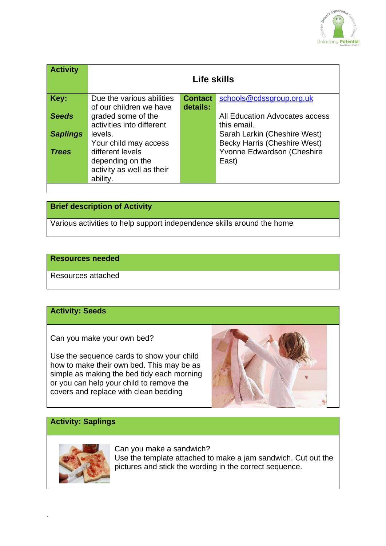

| <b>Activity</b> | Life skills               |                |                                     |
|-----------------|---------------------------|----------------|-------------------------------------|
| Key:            | Due the various abilities | <b>Contact</b> | schools@cdssgroup.org.uk            |
|                 | of our children we have   | details:       |                                     |
| <b>Seeds</b>    | graded some of the        |                | All Education Advocates access      |
|                 | activities into different |                | this email.                         |
| <b>Saplings</b> | levels.                   |                | Sarah Larkin (Cheshire West)        |
|                 | Your child may access     |                | <b>Becky Harris (Cheshire West)</b> |
| <b>Trees</b>    | different levels          |                | Yvonne Edwardson (Cheshire          |
|                 | depending on the          |                | East)                               |
|                 | activity as well as their |                |                                     |
|                 | ability.                  |                |                                     |
|                 |                           |                |                                     |

# **Brief description of Activity**

Various activities to help support independence skills around the home

### **Resources needed**

Resources attached

#### **Activity: Seeds**

Can you make your own bed?

Use the sequence cards to show your child how to make their own bed. This may be as simple as making the bed tidy each morning or you can help your child to remove the covers and replace with clean bedding



## **Activity: Saplings**



`

Can you make a sandwich? Use the template attached to make a jam sandwich. Cut out the pictures and stick the wording in the correct sequence.